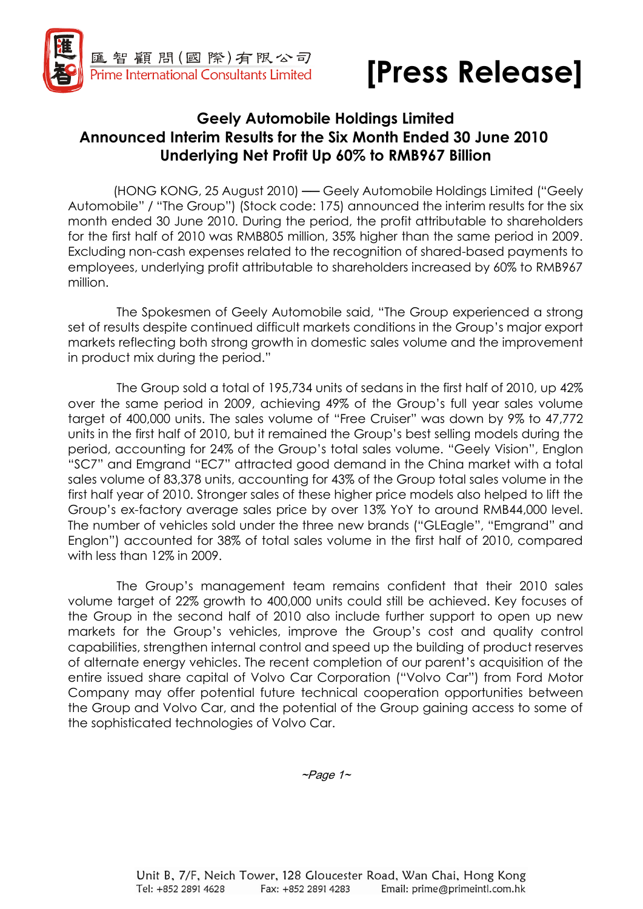

## **Geely Automobile Holdings Limited Announced Interim Results for the Six Month Ended 30 June 2010 Underlying Net Profit Up 60% to RMB967 Billion**

(HONG KONG, 25 August 2010) ── Geely Automobile Holdings Limited ("Geely Automobile" / "The Group") (Stock code: 175) announced the interim results for the six month ended 30 June 2010. During the period, the profit attributable to shareholders for the first half of 2010 was RMB805 million, 35% higher than the same period in 2009. Excluding non-cash expenses related to the recognition of shared-based payments to employees, underlying profit attributable to shareholders increased by 60% to RMB967 million.

The Spokesmen of Geely Automobile said, "The Group experienced a strong set of results despite continued difficult markets conditions in the Group's major export markets reflecting both strong growth in domestic sales volume and the improvement in product mix during the period."

The Group sold a total of 195,734 units of sedans in the first half of 2010, up 42% over the same period in 2009, achieving 49% of the Group's full year sales volume target of 400,000 units. The sales volume of "Free Cruiser" was down by 9% to 47,772 units in the first half of 2010, but it remained the Group's best selling models during the period, accounting for 24% of the Group's total sales volume. "Geely Vision", Englon "SC7" and Emgrand "EC7" attracted good demand in the China market with a total sales volume of 83,378 units, accounting for 43% of the Group total sales volume in the first half year of 2010. Stronger sales of these higher price models also helped to lift the Group's ex-factory average sales price by over 13% YoY to around RMB44,000 level. The number of vehicles sold under the three new brands ("GLEagle", "Emgrand" and Englon") accounted for 38% of total sales volume in the first half of 2010, compared with less than 12% in 2009.

The Group's management team remains confident that their 2010 sales volume target of 22% growth to 400,000 units could still be achieved. Key focuses of the Group in the second half of 2010 also include further support to open up new markets for the Group's vehicles, improve the Group's cost and quality control capabilities, strengthen internal control and speed up the building of product reserves of alternate energy vehicles. The recent completion of our parent's acquisition of the entire issued share capital of Volvo Car Corporation ("Volvo Car") from Ford Motor Company may offer potential future technical cooperation opportunities between the Group and Volvo Car, and the potential of the Group gaining access to some of the sophisticated technologies of Volvo Car.

 $\neg$ Page 1 $\sim$